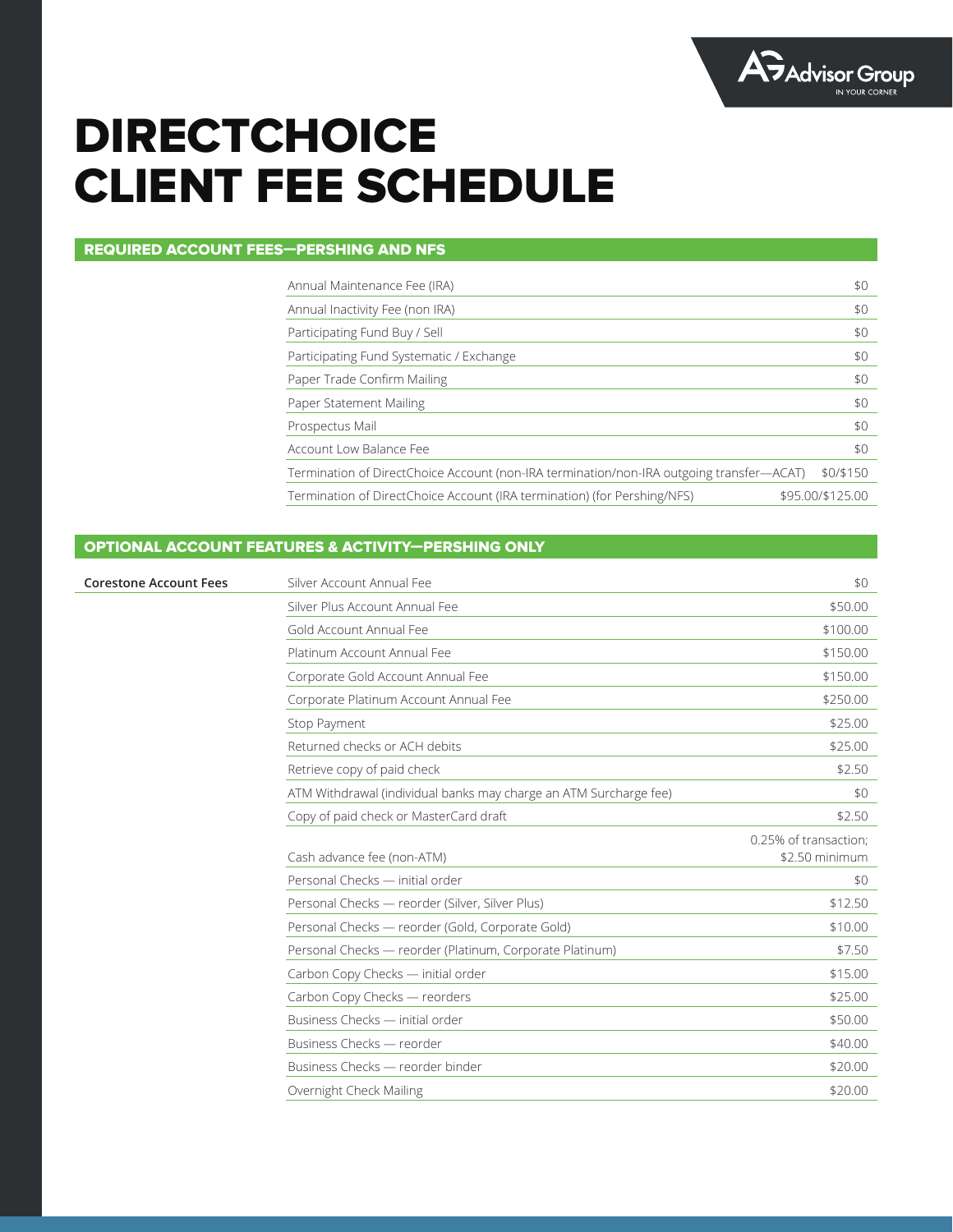

# **DIRECTCHOICE** CLIENT FEE SCHEDULE

## REQUIRED ACCOUNT FEES—PERSHING AND NFS

| Annual Maintenance Fee (IRA)                                                             | \$0              |
|------------------------------------------------------------------------------------------|------------------|
| Annual Inactivity Fee (non IRA)                                                          | \$0              |
| Participating Fund Buy / Sell                                                            | \$0              |
| Participating Fund Systematic / Exchange                                                 | \$0              |
| Paper Trade Confirm Mailing                                                              | \$0              |
| Paper Statement Mailing                                                                  | \$0              |
| Prospectus Mail                                                                          | \$0              |
| Account Low Balance Fee                                                                  | \$0              |
| Termination of DirectChoice Account (non-IRA termination/non-IRA outgoing transfer—ACAT) | \$0/\$150        |
| Termination of DirectChoice Account (IRA termination) (for Pershing/NFS)                 | \$95.00/\$125.00 |

### OPTIONAL ACCOUNT FEATURES & ACTIVITY—PERSHING ONLY

| <b>Corestone Account Fees</b> | Silver Account Annual Fee                                         | \$0                                     |
|-------------------------------|-------------------------------------------------------------------|-----------------------------------------|
|                               | Silver Plus Account Annual Fee                                    | \$50.00                                 |
|                               | Gold Account Annual Fee                                           | \$100.00                                |
|                               | Platinum Account Annual Fee                                       | \$150.00                                |
|                               | Corporate Gold Account Annual Fee                                 | \$150.00                                |
|                               | Corporate Platinum Account Annual Fee                             | \$250.00                                |
|                               | Stop Payment                                                      | \$25.00                                 |
|                               | Returned checks or ACH debits                                     | \$25.00                                 |
|                               | Retrieve copy of paid check                                       | \$2.50                                  |
|                               | ATM Withdrawal (individual banks may charge an ATM Surcharge fee) | \$0                                     |
|                               | Copy of paid check or MasterCard draft                            | \$2.50                                  |
|                               | Cash advance fee (non-ATM)                                        | 0.25% of transaction;<br>\$2.50 minimum |
|                               | Personal Checks - initial order                                   | \$0                                     |
|                               | Personal Checks — reorder (Silver, Silver Plus)                   | \$12.50                                 |
|                               | Personal Checks — reorder (Gold, Corporate Gold)                  | \$10.00                                 |
|                               | Personal Checks — reorder (Platinum, Corporate Platinum)          | \$7.50                                  |
|                               | Carbon Copy Checks - initial order                                | \$15.00                                 |
|                               | Carbon Copy Checks - reorders                                     | \$25.00                                 |
|                               | Business Checks - initial order                                   | \$50.00                                 |
|                               | Business Checks - reorder                                         | \$40.00                                 |
|                               | Business Checks - reorder binder                                  | \$20.00                                 |
|                               | Overnight Check Mailing                                           | \$20.00                                 |